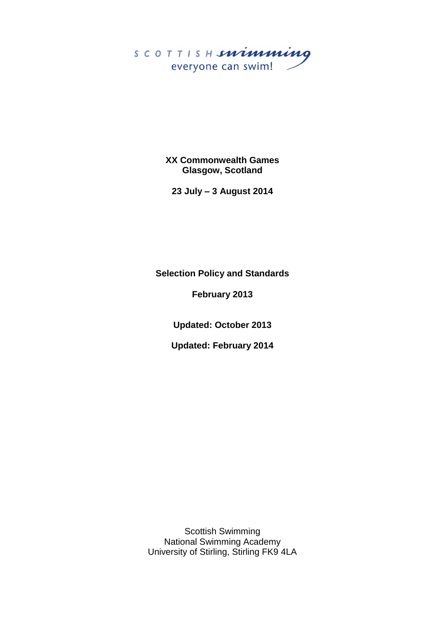

**XX Commonwealth Games Glasgow, Scotland**

**23 July – 3 August 2014**

**Selection Policy and Standards**

**February 2013**

**Updated: October 2013**

**Updated: February 2014**

Scottish Swimming National Swimming Academy University of Stirling, Stirling FK9 4LA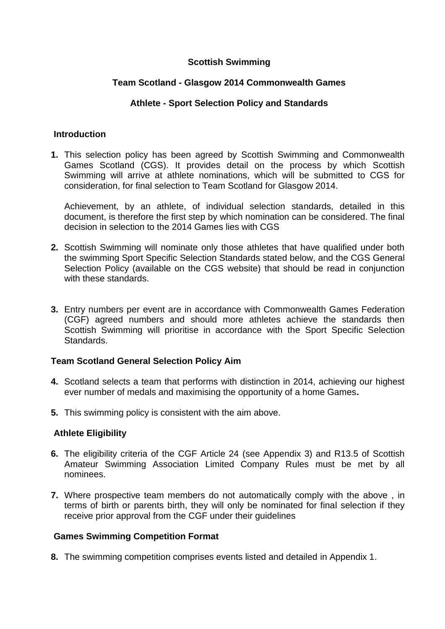## **Scottish Swimming**

## **Team Scotland - Glasgow 2014 Commonwealth Games**

## **Athlete - Sport Selection Policy and Standards**

#### **Introduction**

**1.** This selection policy has been agreed by Scottish Swimming and Commonwealth Games Scotland (CGS). It provides detail on the process by which Scottish Swimming will arrive at athlete nominations, which will be submitted to CGS for consideration, for final selection to Team Scotland for Glasgow 2014.

Achievement, by an athlete, of individual selection standards, detailed in this document, is therefore the first step by which nomination can be considered. The final decision in selection to the 2014 Games lies with CGS

- **2.** Scottish Swimming will nominate only those athletes that have qualified under both the swimming Sport Specific Selection Standards stated below, and the CGS General Selection Policy (available on the CGS website) that should be read in conjunction with these standards.
- **3.** Entry numbers per event are in accordance with Commonwealth Games Federation (CGF) agreed numbers and should more athletes achieve the standards then Scottish Swimming will prioritise in accordance with the Sport Specific Selection **Standards**

#### **Team Scotland General Selection Policy Aim**

- **4.** Scotland selects a team that performs with distinction in 2014, achieving our highest ever number of medals and maximising the opportunity of a home Games**.**
- **5.** This swimming policy is consistent with the aim above.

#### **Athlete Eligibility**

- **6.** The eligibility criteria of the CGF Article 24 (see Appendix 3) and R13.5 of Scottish Amateur Swimming Association Limited Company Rules must be met by all nominees.
- **7.** Where prospective team members do not automatically comply with the above , in terms of birth or parents birth, they will only be nominated for final selection if they receive prior approval from the CGF under their guidelines

#### **Games Swimming Competition Format**

**8.** The swimming competition comprises events listed and detailed in Appendix 1.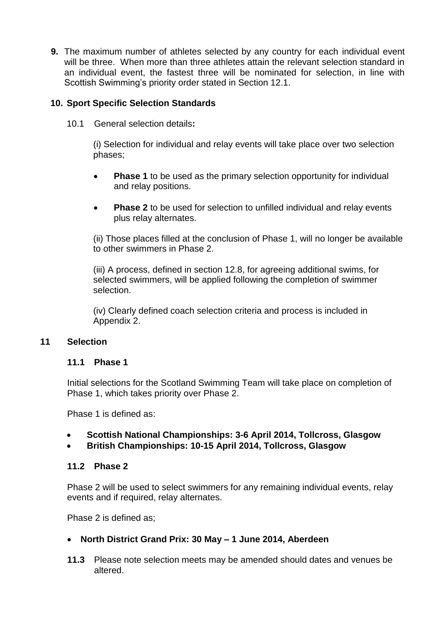**9.** The maximum number of athletes selected by any country for each individual event will be three. When more than three athletes attain the relevant selection standard in an individual event, the fastest three will be nominated for selection, in line with Scottish Swimming's priority order stated in Section 12.1.

## **10. Sport Specific Selection Standards**

10.1 General selection details**:**

(i) Selection for individual and relay events will take place over two selection phases;

- **Phase 1** to be used as the primary selection opportunity for individual and relay positions.
- **Phase 2** to be used for selection to unfilled individual and relay events plus relay alternates.

(ii) Those places filled at the conclusion of Phase 1, will no longer be available to other swimmers in Phase 2.

(iii) A process, defined in section 12.8, for agreeing additional swims, for selected swimmers, will be applied following the completion of swimmer selection.

(iv) Clearly defined coach selection criteria and process is included in Appendix 2.

#### **11 Selection**

#### **11.1 Phase 1**

Initial selections for the Scotland Swimming Team will take place on completion of Phase 1, which takes priority over Phase 2.

Phase 1 is defined as:

- **Scottish National Championships: 3-6 April 2014, Tollcross, Glasgow**
- **British Championships: 10-15 April 2014, Tollcross, Glasgow**

#### **11.2 Phase 2**

Phase 2 will be used to select swimmers for any remaining individual events, relay events and if required, relay alternates.

Phase 2 is defined as;

#### **North District Grand Prix: 30 May – 1 June 2014, Aberdeen**

**11.3** Please note selection meets may be amended should dates and venues be altered.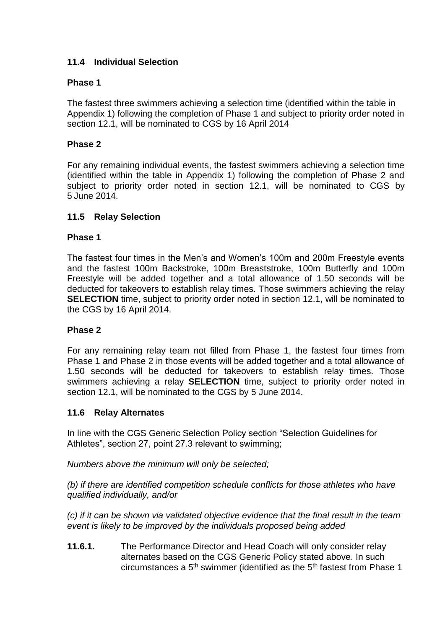## **11.4 Individual Selection**

## **Phase 1**

The fastest three swimmers achieving a selection time (identified within the table in Appendix 1) following the completion of Phase 1 and subject to priority order noted in section 12.1, will be nominated to CGS by 16 April 2014

## **Phase 2**

For any remaining individual events, the fastest swimmers achieving a selection time (identified within the table in Appendix 1) following the completion of Phase 2 and subject to priority order noted in section 12.1, will be nominated to CGS by 5 June 2014.

## **11.5 Relay Selection**

#### **Phase 1**

The fastest four times in the Men's and Women's 100m and 200m Freestyle events and the fastest 100m Backstroke, 100m Breaststroke, 100m Butterfly and 100m Freestyle will be added together and a total allowance of 1.50 seconds will be deducted for takeovers to establish relay times. Those swimmers achieving the relay **SELECTION** time, subject to priority order noted in section 12.1, will be nominated to the CGS by 16 April 2014.

#### **Phase 2**

For any remaining relay team not filled from Phase 1, the fastest four times from Phase 1 and Phase 2 in those events will be added together and a total allowance of 1.50 seconds will be deducted for takeovers to establish relay times. Those swimmers achieving a relay **SELECTION** time, subject to priority order noted in section 12.1, will be nominated to the CGS by 5 June 2014.

#### **11.6 Relay Alternates**

In line with the CGS Generic Selection Policy section "Selection Guidelines for Athletes", section 27, point 27.3 relevant to swimming;

*Numbers above the minimum will only be selected;*

*(b) if there are identified competition schedule conflicts for those athletes who have qualified individually, and/or*

*(c) if it can be shown via validated objective evidence that the final result in the team event is likely to be improved by the individuals proposed being added*

**11.6.1.** The Performance Director and Head Coach will only consider relay alternates based on the CGS Generic Policy stated above. In such circumstances a  $5<sup>th</sup>$  swimmer (identified as the  $5<sup>th</sup>$  fastest from Phase 1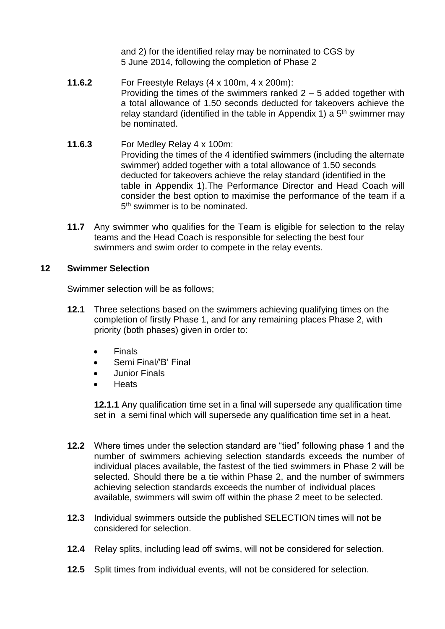and 2) for the identified relay may be nominated to CGS by 5 June 2014, following the completion of Phase 2

- **11.6.2** For Freestyle Relays (4 x 100m, 4 x 200m): Providing the times of the swimmers ranked  $2 - 5$  added together with a total allowance of 1.50 seconds deducted for takeovers achieve the relay standard (identified in the table in Appendix 1) a  $5<sup>th</sup>$  swimmer may be nominated.
- **11.6.3** For Medley Relay 4 x 100m: Providing the times of the 4 identified swimmers (including the alternate swimmer) added together with a total allowance of 1.50 seconds deducted for takeovers achieve the relay standard (identified in the table in Appendix 1).The Performance Director and Head Coach will consider the best option to maximise the performance of the team if a 5<sup>th</sup> swimmer is to be nominated.
- **11.7** Any swimmer who qualifies for the Team is eligible for selection to the relay teams and the Head Coach is responsible for selecting the best four swimmers and swim order to compete in the relay events.

#### **12 Swimmer Selection**

Swimmer selection will be as follows;

- **12.1** Three selections based on the swimmers achieving qualifying times on the completion of firstly Phase 1, and for any remaining places Phase 2, with priority (both phases) given in order to:
	- Finals
	- Semi Final/'B' Final
	- Junior Finals
	- **Heats**

**12.1.1** Any qualification time set in a final will supersede any qualification time set in a semi final which will supersede any qualification time set in a heat.

- **12.2** Where times under the selection standard are "tied" following phase 1 and the number of swimmers achieving selection standards exceeds the number of individual places available, the fastest of the tied swimmers in Phase 2 will be selected. Should there be a tie within Phase 2, and the number of swimmers achieving selection standards exceeds the number of individual places available, swimmers will swim off within the phase 2 meet to be selected.
- **12.3** Individual swimmers outside the published SELECTION times will not be considered for selection.
- **12.4** Relay splits, including lead off swims, will not be considered for selection.
- **12.5** Split times from individual events, will not be considered for selection.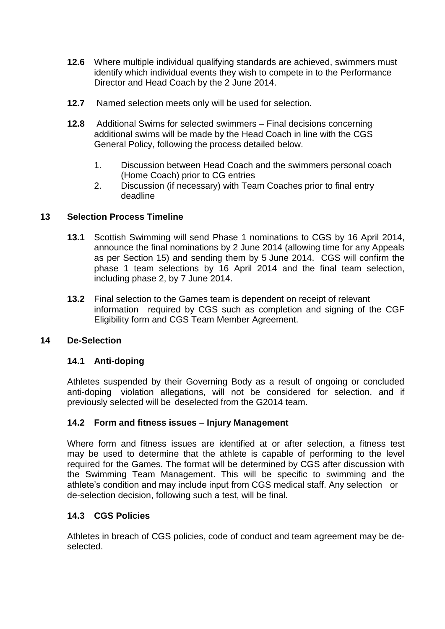- **12.6** Where multiple individual qualifying standards are achieved, swimmers must identify which individual events they wish to compete in to the Performance Director and Head Coach by the 2 June 2014.
- **12.7** Named selection meets only will be used for selection.
- **12.8** Additional Swims for selected swimmers Final decisions concerning additional swims will be made by the Head Coach in line with the CGS General Policy, following the process detailed below.
	- 1. Discussion between Head Coach and the swimmers personal coach (Home Coach) prior to CG entries
	- 2. Discussion (if necessary) with Team Coaches prior to final entry deadline

## **13 Selection Process Timeline**

- **13.1** Scottish Swimming will send Phase 1 nominations to CGS by 16 April 2014, announce the final nominations by 2 June 2014 (allowing time for any Appeals as per Section 15) and sending them by 5 June 2014. CGS will confirm the phase 1 team selections by 16 April 2014 and the final team selection, including phase 2, by 7 June 2014.
- **13.2** Final selection to the Games team is dependent on receipt of relevant information required by CGS such as completion and signing of the CGF Eligibility form and CGS Team Member Agreement.

#### **14 De-Selection**

## **14.1 Anti-doping**

Athletes suspended by their Governing Body as a result of ongoing or concluded anti-doping violation allegations, will not be considered for selection, and if previously selected will be deselected from the G2014 team.

#### **14.2 Form and fitness issues** – **Injury Management**

Where form and fitness issues are identified at or after selection, a fitness test may be used to determine that the athlete is capable of performing to the level required for the Games. The format will be determined by CGS after discussion with the Swimming Team Management. This will be specific to swimming and the athlete's condition and may include input from CGS medical staff. Any selection or de-selection decision, following such a test, will be final.

#### **14.3 CGS Policies**

Athletes in breach of CGS policies, code of conduct and team agreement may be deselected.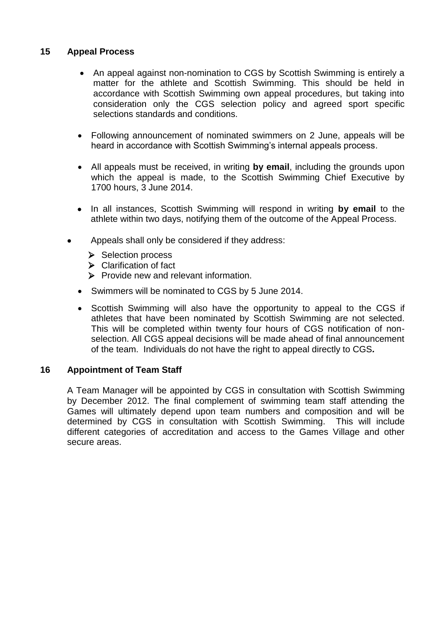## **15 Appeal Process**

- An appeal against non-nomination to CGS by Scottish Swimming is entirely a matter for the athlete and Scottish Swimming. This should be held in accordance with Scottish Swimming own appeal procedures, but taking into consideration only the CGS selection policy and agreed sport specific selections standards and conditions.
- Following announcement of nominated swimmers on 2 June, appeals will be heard in accordance with Scottish Swimming's internal appeals process.
- All appeals must be received, in writing **by email**, including the grounds upon which the appeal is made, to the Scottish Swimming Chief Executive by 1700 hours, 3 June 2014.
- In all instances, Scottish Swimming will respond in writing **by email** to the athlete within two days, notifying them of the outcome of the Appeal Process.
- Appeals shall only be considered if they address:
	- $\triangleright$  Selection process
	- $\triangleright$  Clarification of fact
	- $\triangleright$  Provide new and relevant information.
	- Swimmers will be nominated to CGS by 5 June 2014.
	- Scottish Swimming will also have the opportunity to appeal to the CGS if athletes that have been nominated by Scottish Swimming are not selected. This will be completed within twenty four hours of CGS notification of nonselection. All CGS appeal decisions will be made ahead of final announcement of the team. Individuals do not have the right to appeal directly to CGS*.*

#### **16 Appointment of Team Staff**

A Team Manager will be appointed by CGS in consultation with Scottish Swimming by December 2012. The final complement of swimming team staff attending the Games will ultimately depend upon team numbers and composition and will be determined by CGS in consultation with Scottish Swimming. This will include different categories of accreditation and access to the Games Village and other secure areas.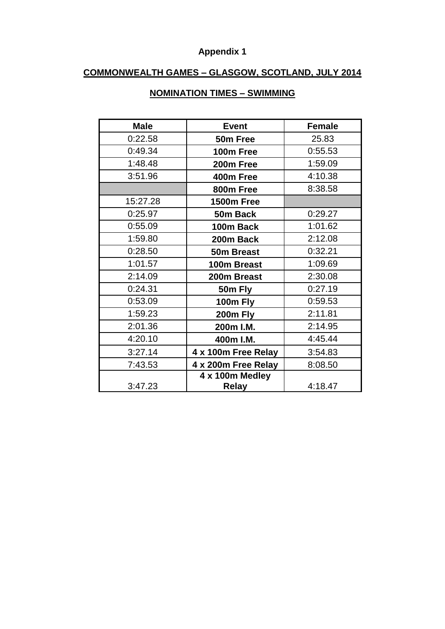# **Appendix 1**

## **COMMONWEALTH GAMES – GLASGOW, SCOTLAND, JULY 2014**

| <b>Male</b> | <b>Event</b>        | <b>Female</b> |
|-------------|---------------------|---------------|
| 0:22.58     | 50m Free            | 25.83         |
| 0:49.34     | 100m Free           | 0:55.53       |
| 1:48.48     | 200m Free           | 1:59.09       |
| 3:51.96     | 400m Free           | 4:10.38       |
|             | 800m Free           | 8:38.58       |
| 15:27.28    | <b>1500m Free</b>   |               |
| 0:25.97     | 50m Back            | 0:29.27       |
| 0:55.09     | 100m Back           | 1:01.62       |
| 1:59.80     | 200m Back           | 2:12.08       |
| 0:28.50     | 50m Breast          | 0:32.21       |
| 1:01.57     | 100m Breast         | 1:09.69       |
| 2:14.09     | 200m Breast         | 2:30.08       |
| 0:24.31     | 50m Fly             | 0:27.19       |
| 0:53.09     | 100m Fly            | 0:59.53       |
| 1:59.23     | 200m Fly            | 2:11.81       |
| 2:01.36     | 200m I.M.           | 2:14.95       |
| 4:20.10     | 400m I.M.           | 4:45.44       |
| 3:27.14     | 4 x 100m Free Relay | 3:54.83       |
| 7:43.53     | 4 x 200m Free Relay | 8:08.50       |
|             | 4 x 100m Medley     |               |
| 3:47.23     | <b>Relay</b>        | 4:18.47       |

## **NOMINATION TIMES – SWIMMING**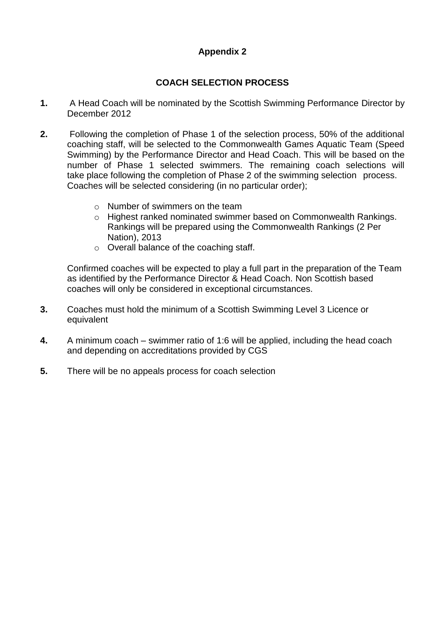## **Appendix 2**

## **COACH SELECTION PROCESS**

- **1.** A Head Coach will be nominated by the Scottish Swimming Performance Director by December 2012
- **2.** Following the completion of Phase 1 of the selection process, 50% of the additional coaching staff, will be selected to the Commonwealth Games Aquatic Team (Speed Swimming) by the Performance Director and Head Coach. This will be based on the number of Phase 1 selected swimmers. The remaining coach selections will take place following the completion of Phase 2 of the swimming selection process. Coaches will be selected considering (in no particular order);
	- o Number of swimmers on the team
	- o Highest ranked nominated swimmer based on Commonwealth Rankings. Rankings will be prepared using the Commonwealth Rankings (2 Per Nation), 2013
	- o Overall balance of the coaching staff.

Confirmed coaches will be expected to play a full part in the preparation of the Team as identified by the Performance Director & Head Coach. Non Scottish based coaches will only be considered in exceptional circumstances.

- **3.** Coaches must hold the minimum of a Scottish Swimming Level 3 Licence or equivalent
- **4.** A minimum coach swimmer ratio of 1:6 will be applied, including the head coach and depending on accreditations provided by CGS
- **5.** There will be no appeals process for coach selection